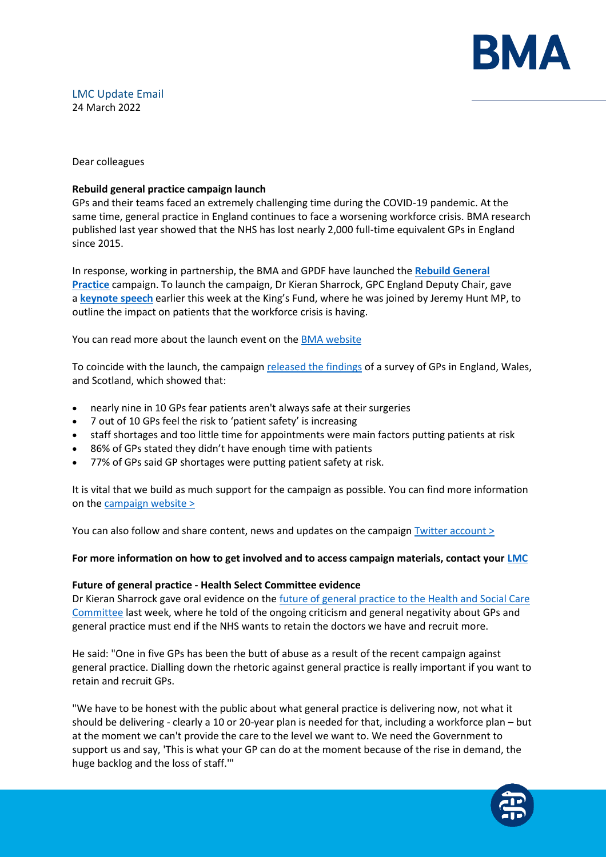

# LMC Update Email 24 March 2022

### Dear colleagues

## **Rebuild general practice campaign launch**

GPs and their teams faced an extremely challenging time during the COVID-19 pandemic. At the same time, general practice in England continues to face a worsening workforce crisis. BMA research published last year showed that the NHS has lost nearly 2,000 full-time equivalent GPs in England since 2015.

In response, working in partnership, the BMA and GPDF have launched the **[Rebuild General](https://bma-mail.org.uk/t/JVX-7SE2J-JCJOU4-4QTDV1-1/c.aspx)  [Practice](https://bma-mail.org.uk/t/JVX-7SE2J-JCJOU4-4QTDV1-1/c.aspx)** campaign. To launch the campaign, Dr Kieran Sharrock, GPC England Deputy Chair, gave a **[keynote speech](https://bma-mail.org.uk/t/JVX-7SE2J-JCJOU4-4QTDV2-1/c.aspx)** earlier this week at the King's Fund, where he was joined by Jeremy Hunt MP, to outline the impact on patients that the workforce crisis is having.

You can read more about the launch event on th[e BMA website](https://www.bma.org.uk/news-and-opinion/gp-campaign-time-to-rebuild-general-practice)

To coincide with the launch, the campaign [released the findings](https://bma-assets.s3.amazonaws.com/attachments/cl10w7qp3145pnzpda633c2xs-rgppressrelease-final-20220321.pdf) of a survey of GPs in England, Wales, and Scotland, which showed that:

- nearly nine in 10 GPs fear patients aren't always safe at their surgeries
- 7 out of 10 GPs feel the risk to 'patient safety' is increasing
- staff shortages and too little time for appointments were main factors putting patients at risk
- 86% of GPs stated they didn't have enough time with patients
- 77% of GPs said GP shortages were putting patient safety at risk.

It is vital that we build as much support for the campaign as possible. You can find more information on the campaign website  $\geq$ 

You can also follow and share content, news and updates on the campaign [Twitter account >](https://twitter.com/rebuildgp)

### **For more information on how to get involved and to access campaign materials, contact your [LMC](https://www.bma.org.uk/what-we-do/local-medical-committees)**

### **Future of general practice - Health Select Committee evidence**

Dr Kieran Sharrock gave oral evidence on the [future of general practice to the Health and Social Care](https://parliamentlive.tv/event/index/2db75856-7af1-4c6c-8a81-1195325864a7?domain=parliamentlive.tv)  [Committee](https://parliamentlive.tv/event/index/2db75856-7af1-4c6c-8a81-1195325864a7?domain=parliamentlive.tv) last week, where he told of the ongoing criticism and general negativity about GPs and general practice must end if the NHS wants to retain the doctors we have and recruit more.

He said: "One in five GPs has been the butt of abuse as a result of the recent campaign against general practice. Dialling down the rhetoric against general practice is really important if you want to retain and recruit GPs.

"We have to be honest with the public about what general practice is delivering now, not what it should be delivering - clearly a 10 or 20-year plan is needed for that, including a workforce plan – but at the moment we can't provide the care to the level we want to. We need the Government to support us and say, 'This is what your GP can do at the moment because of the rise in demand, the huge backlog and the loss of staff.'"

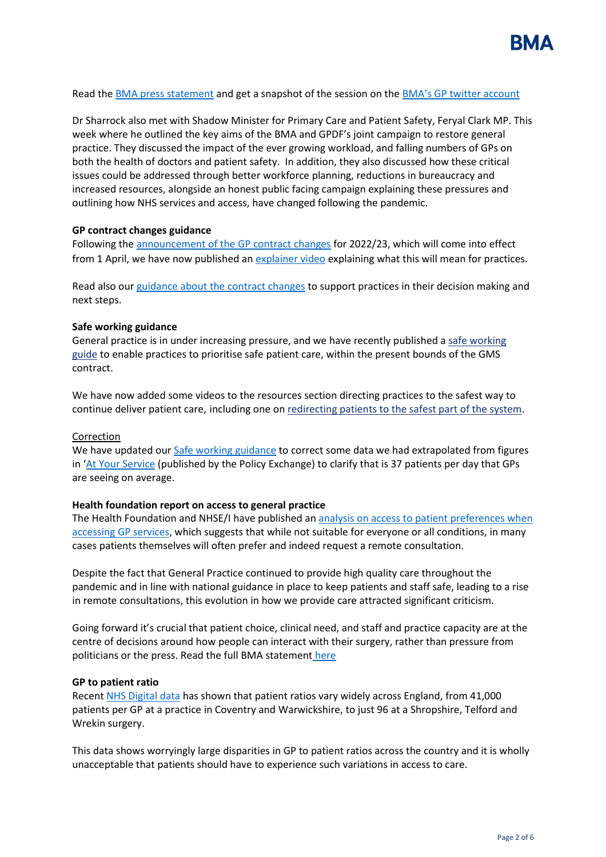

Read the [BMA press statement](https://www.bma.org.uk/bma-media-centre/dial-down-the-negative-and-critical-commentary-against-gps-or-the-nhs-will-lose-even-more-doctors-bma-tells-health-select-committee) and get a snapshot of the session on the [BMA's GP twitter account](https://twitter.com/BMA_GP/status/1503765235374735362)

Dr Sharrock also met with Shadow Minister for Primary Care and Patient Safety, Feryal Clark MP. This week where he outlined the key aims of the BMA and GPDF's joint campaign to restore general practice. They discussed the impact of the ever growing workload, and falling numbers of GPs on both the health of doctors and patient safety. In addition, they also discussed how these critical issues could be addressed through better workforce planning, reductions in bureaucracy and increased resources, alongside an honest public facing campaign explaining these pressures and outlining how NHS services and access, have changed following the pandemic.

### **GP contract changes guidance**

Following the [announcement of the GP contract changes](https://www.england.nhs.uk/publication/letter-general-practice-contract-arrangements-in-2022-23/) for 2022/23, which will come into effect from 1 April, we have now published an [explainer video](https://www.bma.org.uk/pay-and-contracts/contracts/gp-contract/gp-contract-changes-england-202223) explaining what this will mean for practices*.*

Read also our [guidance about the contract changes](https://www.bma.org.uk/pay-and-contracts/contracts/gp-contract/gp-contract-changes-england-202223) to support practices in their decision making and next steps.

### **Safe working guidance**

General practice is in under increasing pressure, and we have recently published a [safe working](https://www.bma.org.uk/advice-and-support/gp-practices/managing-workload/safe-working-in-general-practice)  [guide](https://www.bma.org.uk/advice-and-support/gp-practices/managing-workload/safe-working-in-general-practice) to enable practices to prioritise safe patient care, within the present bounds of the GMS contract.

We have now added some videos to the resources section directing practices to the safest way to continue deliver patient care, including one on [redirecting patients to the safest part of the system.](https://www.youtube.com/watch?v=FMTLvPJE064)

### Correction

We have updated ou[r Safe working guidance](https://protect-eu.mimecast.com/s/rhfvC2WMMcpzNPRFMkAwY?domain=bma.org.uk) to correct some data we had extrapolated from figures in '[At Your Service](https://protect-eu.mimecast.com/s/qLzqCWqVVi5mARPI6Bm5o?domain=policyexchange.org.uk) (published by the Policy Exchange) to clarify that is 37 patients per day that GPs are seeing on average.

### **Health foundation report on access to general practice**

The Health Foundation and NHSE/I have published a[n analysis on access to patient preferences when](https://www.health.org.uk/publications/access-to-and-delivery-of-general-practice-services)  [accessing GP services,](https://www.health.org.uk/publications/access-to-and-delivery-of-general-practice-services) which suggests that while not suitable for everyone or all conditions, in many cases patients themselves will often prefer and indeed request a remote consultation.

Despite the fact that General Practice continued to provide high quality care throughout the pandemic and in line with national guidance in place to keep patients and staff safe, leading to a rise in remote consultations, this evolution in how we provide care attracted significant criticism.

Going forward it's crucial that patient choice, clinical need, and staff and practice capacity are at the centre of decisions around how people can interact with their surgery, rather than pressure from politicians or the press. Read the full BMA statement [here](https://www.bma.org.uk/bma-media-centre/health-foundation-analysis-on-gp-appointment-preferences-highlights-the-importance-of-patient-choice-clinical-need-and-capacity-says-bma)

### **GP to patient ratio**

Recent [NHS Digital data](https://digital.nhs.uk/data-and-information/publications/statistical/patients-registered-at-a-gp-practice) has shown that patient ratios vary widely across England, from 41,000 patients per GP at a practice in Coventry and Warwickshire, to just 96 at a Shropshire, Telford and Wrekin surgery.

This data shows worryingly large disparities in GP to patient ratios across the country and it is wholly unacceptable that patients should have to experience such variations in access to care.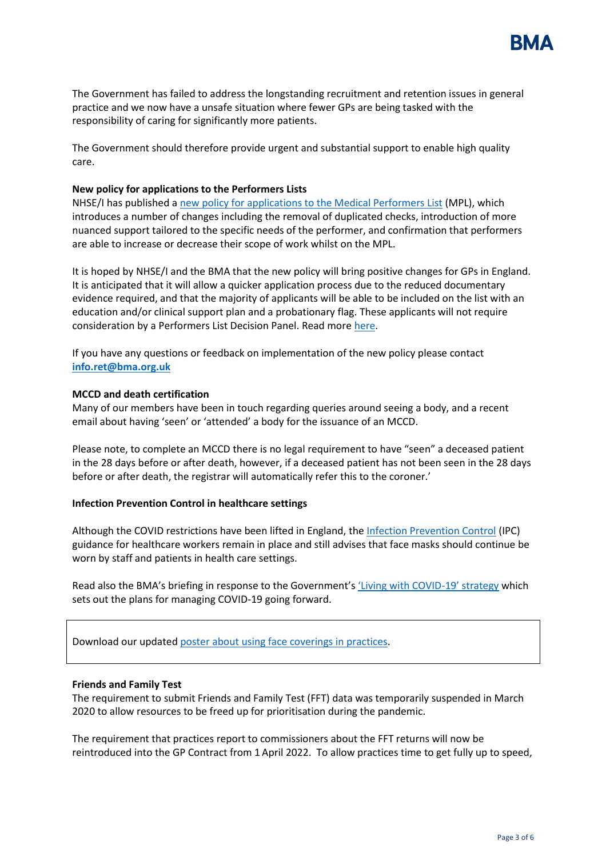

The Government has failed to address the longstanding recruitment and retention issues in general practice and we now have a unsafe situation where fewer GPs are being tasked with the responsibility of caring for significantly more patients.

The Government should therefore provide urgent and substantial support to enable high quality care.

### **New policy for applications to the Performers Lists**

NHSE/I has published [a new policy for applications to the Medical Performers List](https://www.england.nhs.uk/publication/policy-for-managing-applications-to-join-the-england-performers-lists/) (MPL), which introduces a number of changes including the removal of duplicated checks, introduction of more nuanced support tailored to the specific needs of the performer, and confirmation that performers are able to increase or decrease their scope of work whilst on the MPL.

It is hoped by NHSE/I and the BMA that the new policy will bring positive changes for GPs in England. It is anticipated that it will allow a quicker application process due to the reduced documentary evidence required, and that the majority of applicants will be able to be included on the list with an education and/or clinical support plan and a probationary flag. These applicants will not require consideration by a Performers List Decision Panel. Read more [here.](https://www.england.nhs.uk/publication/policy-for-managing-applications-to-join-the-england-performers-lists/)

If you have any questions or feedback on implementation of the new policy please contact **[info.ret@bma.org.uk](mailto:info.ret@bma.org.uk)**

### **MCCD and death certification**

Many of our members have been in touch regarding queries around seeing a body, and a recent email about having 'seen' or 'attended' a body for the issuance of an MCCD.

Please note, to complete an MCCD there is no legal requirement to have "seen" a deceased patient in the 28 days before or after death, however, if a deceased patient has not been seen in the 28 days before or after death, the registrar will automatically refer this to the coroner.'

### **Infection Prevention Control in healthcare settings**

Although the COVID restrictions have been lifted in England, the [Infection Prevention Control](https://www.gov.uk/government/publications/wuhan-novel-coronavirus-infection-prevention-and-control) (IPC) guidance for healthcare workers remain in place and still advises that face masks should continue be worn by staff and patients in health care settings.

Read also the BMA's briefing in response to the Government'[s 'Living with COVID](https://assets.publishing.service.gov.uk/government/uploads/system/uploads/attachment_data/file/1056229/COVID-19_Response_-_Living_with_COVID-19.pdf)-19' strategy which sets out the plans for managing COVID-19 going forward.

Download our updated [poster about using face coverings in practices.](https://www.bma.org.uk/media/5321/bma-visiting-your-gp-poster-mar2022.pdf)

#### **Friends and Family Test**

The requirement to submit Friends and Family Test (FFT) data was temporarily suspended in March 2020 to allow resources to be freed up for prioritisation during the pandemic.

The requirement that practices report to commissioners about the FFT returns will now be reintroduced into the GP Contract from 1 April 2022. To allow practices time to get fully up to speed,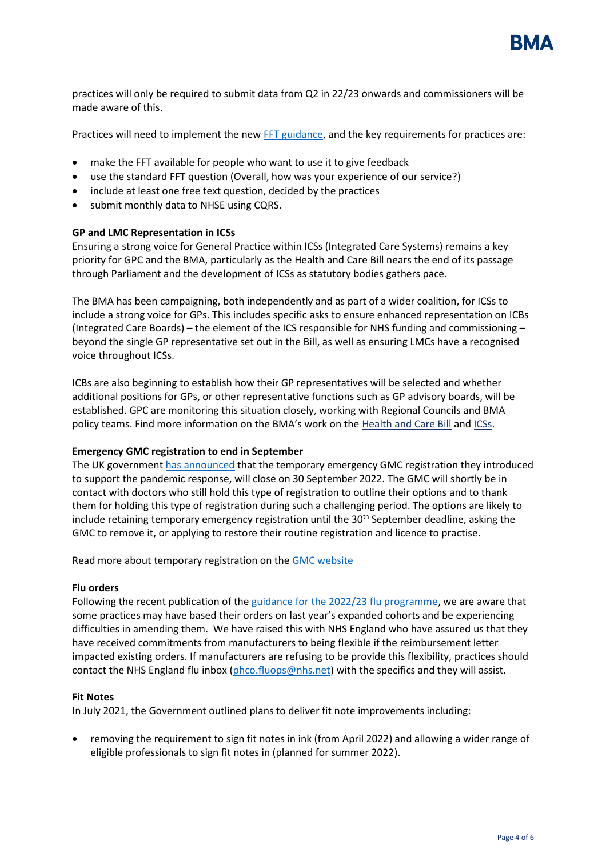

practices will only be required to submit data from Q2 in 22/23 onwards and commissioners will be made aware of this.

Practices will need to implement the ne[w FFT guidance,](https://www.england.nhs.uk/wp-content/uploads/2019/09/using-the-fft-to-improve-patient-experience-guidance-v2.pdf) and the key requirements for practices are:

- make the FFT available for people who want to use it to give feedback
- use the standard FFT question (Overall, how was your experience of our service?)
- include at least one free text question, decided by the practices
- submit monthly data to NHSE using CQRS.

### **GP and LMC Representation in ICSs**

Ensuring a strong voice for General Practice within ICSs (Integrated Care Systems) remains a key priority for GPC and the BMA, particularly as the Health and Care Bill nears the end of its passage through Parliament and the development of ICSs as statutory bodies gathers pace.

The BMA has been campaigning, both independently and as part of a wider coalition, for ICSs to include a strong voice for GPs. This includes specific asks to ensure enhanced representation on ICBs (Integrated Care Boards) – the element of the ICS responsible for NHS funding and commissioning – beyond the single GP representative set out in the Bill, as well as ensuring LMCs have a recognised voice throughout ICSs.

ICBs are also beginning to establish how their GP representatives will be selected and whether additional positions for GPs, or other representative functions such as GP advisory boards, will be established. GPC are monitoring this situation closely, working with Regional Councils and BMA policy teams. Find more information on the BMA's work on the [Health and Care Bill](https://www.bma.org.uk/advice-and-support/nhs-delivery-and-workforce/integration/the-health-and-care-bill) and [ICSs.](https://www.bma.org.uk/advice-and-support/nhs-delivery-and-workforce/integration/integrated-care-systems-icss)

### **Emergency GMC registration to end in September**

The UK governmen[t has announced](https://questions-statements.parliament.uk/written-statements/detail/2022-03-16/hlws672) that the temporary emergency GMC registration they introduced to support the pandemic response, will close on 30 September 2022. The GMC will shortly be in contact with doctors who still hold this type of registration to outline their options and to thank them for holding this type of registration during such a challenging period. The options are likely to include retaining temporary emergency registration until the 30<sup>th</sup> September deadline, asking the GMC to remove it, or applying to restore their routine registration and licence to practise.

Read more about temporary registration on the [GMC website](https://protect-eu.mimecast.com/s/bA9BCLJEEiRn6P1hqxvLq?domain=gmc-uk.org)

### **Flu orders**

Following the recent publication of the [guidance for the 2022/23 flu programme,](https://www.england.nhs.uk/wp-content/uploads/2019/12/B1395-reimbursable-vaccines-and-eligible-cohorts-22-23-flu-vaccination-programme-guidance-march-2022.pdf) we are aware that some practices may have based their orders on last year's expanded cohorts and be experiencing difficulties in amending them. We have raised this with NHS England who have assured us that they have received commitments from manufacturers to being flexible if the reimbursement letter impacted existing orders. If manufacturers are refusing to be provide this flexibility, practices should contact the NHS England flu inbox [\(phco.fluops@nhs.net\)](mailto:phco.fluops@nhs.net) with the specifics and they will assist.

### **Fit Notes**

In July 2021, the Government outlined plans to deliver fit note improvements including:

• removing the requirement to sign fit notes in ink (from April 2022) and allowing a wider range of eligible professionals to sign fit notes in (planned for summer 2022).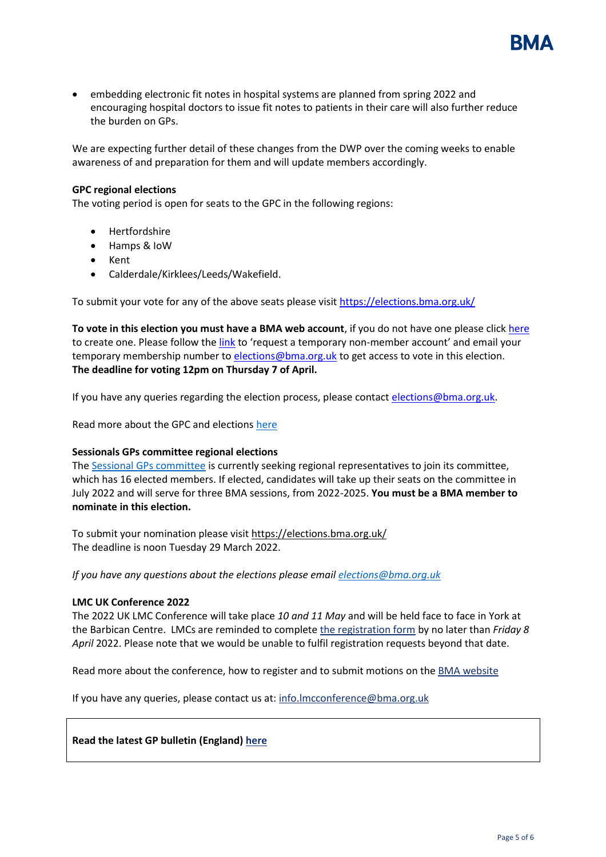

• embedding electronic fit notes in hospital systems are planned from spring 2022 and encouraging hospital doctors to issue fit notes to patients in their care will also further reduce the burden on GPs.

We are expecting further detail of these changes from the DWP over the coming weeks to enable awareness of and preparation for them and will update members accordingly.

### **GPC regional elections**

The voting period is open for seats to the GPC in the following regions:

- Hertfordshire
- Hamps & IoW
- Kent
- Calderdale/Kirklees/Leeds/Wakefield.

To submit your vote for any of the above seats please visit [https://elections.bma.org.uk/](https://protect-eu.mimecast.com/s/eHoKCnO11hlJjyf2kXSW?domain=elections.bma.org.uk)

**To vote in this election you must have a BMA web account**, if you do not have one please click [here](https://www.bma.org.uk/what-we-do/committees/committee-information/committee-elections) to create one. Please follow the [link](https://join.bma.org.uk/limitedaccessregistration/limitedaccess) to 'request a temporary non-member account' and email your temporary membership number t[o elections@bma.org.uk](mailto:elections@bma.org.uk) to get access to vote in this election. **The deadline for voting 12pm on Thursday 7 of April.** 

If you have any queries regarding the election process, please contac[t elections@bma.org.uk.](mailto:elections@bma.org.uk)

Read more about the GPC and election[s here](https://www.bma.org.uk/what-we-do/committees/general-practitioners-committee/general-practitioners-committee-uk-overview)

### **Sessionals GPs committee regional elections**

The [Sessional GPs committee](https://www.bma.org.uk/what-we-do/committees/general-practitioners-committee/sessional-gps-committee) is currently seeking regional representatives to join its committee, which has 16 elected members. If elected, candidates will take up their seats on the committee in July 2022 and will serve for three BMA sessions, from 2022-2025. **You must be a BMA member to nominate in this election.**

To submit your nomination please visit [https://elections.bma.org.uk/](https://protect-eu.mimecast.com/s/eHoKCnO11hlJjyf2kXSW?domain=elections.bma.org.uk) The deadline is noon Tuesday 29 March 2022.

*If you have any questions about the elections please email [elections@bma.org.uk](mailto:elections@bma.org.uk)*

### **LMC UK Conference 2022**

The 2022 UK LMC Conference will take place *10 and 11 May* and will be held face to face in York at the Barbican Centre. LMCs are reminded to complete [the registration form](https://events.bma.org.uk/uk-conference-of-lmcs-2022/registration/Site/Register) by no later than *Friday 8 April* 2022. Please note that we would be unable to fulfil registration requests beyond that date.

Read more about the conference, how to register and to submit motions on the **BMA** website

If you have any queries, please contact us at: [info.lmcconference@bma.org.uk](mailto:info.lmcconference@bma.org.uk)

### **Read the latest GP bulletin (England) [here](https://bma-mail.org.uk/t/JVX-7SM3I-EC5E0CEA0D8A5317JCJOU4BA186991484320BE/cr.aspx)**